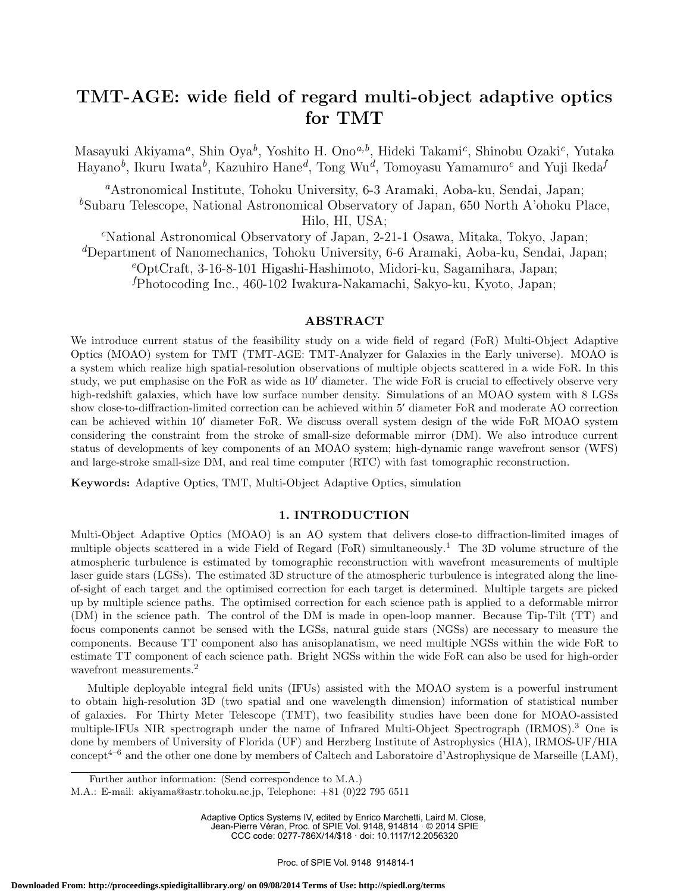# **TMT-AGE: wide field of regard multi-object adaptive optics for TMT**

Masayuki Akiyama*<sup>a</sup>* , Shin Oya*<sup>b</sup>* , Yoshito H. Ono*a,b*, Hideki Takami*<sup>c</sup>* , Shinobu Ozaki*<sup>c</sup>* , Yutaka Hayano*<sup>b</sup>* , Ikuru Iwata*<sup>b</sup>* , Kazuhiro Hane*<sup>d</sup>* , Tong Wu*<sup>d</sup>* , Tomoyasu Yamamuro*<sup>e</sup>* and Yuji Ikeda*<sup>f</sup>*

*<sup>a</sup>*Astronomical Institute, Tohoku University, 6-3 Aramaki, Aoba-ku, Sendai, Japan; <sup>b</sup>Subaru Telescope, National Astronomical Observatory of Japan, 650 North A'ohoku Place, Hilo, HI, USA;

*<sup>c</sup>*National Astronomical Observatory of Japan, 2-21-1 Osawa, Mitaka, Tokyo, Japan; *<sup>d</sup>*Department of Nanomechanics, Tohoku University, 6-6 Aramaki, Aoba-ku, Sendai, Japan; *<sup>e</sup>*OptCraft, 3-16-8-101 Higashi-Hashimoto, Midori-ku, Sagamihara, Japan; *<sup>f</sup>*Photocoding Inc., 460-102 Iwakura-Nakamachi, Sakyo-ku, Kyoto, Japan;

# **ABSTRACT**

We introduce current status of the feasibility study on a wide field of regard (FoR) Multi-Object Adaptive Optics (MOAO) system for TMT (TMT-AGE: TMT-Analyzer for Galaxies in the Early universe). MOAO is a system which realize high spatial-resolution observations of multiple objects scattered in a wide FoR. In this study, we put emphasise on the FoR as wide as 10*′* diameter. The wide FoR is crucial to effectively observe very high-redshift galaxies, which have low surface number density. Simulations of an MOAO system with 8 LGSs show close-to-diffraction-limited correction can be achieved within 5*′* diameter FoR and moderate AO correction can be achieved within 10*′* diameter FoR. We discuss overall system design of the wide FoR MOAO system considering the constraint from the stroke of small-size deformable mirror (DM). We also introduce current status of developments of key components of an MOAO system; high-dynamic range wavefront sensor (WFS) and large-stroke small-size DM, and real time computer (RTC) with fast tomographic reconstruction.

**Keywords:** Adaptive Optics, TMT, Multi-Object Adaptive Optics, simulation

# **1. INTRODUCTION**

Multi-Object Adaptive Optics (MOAO) is an AO system that delivers close-to diffraction-limited images of multiple objects scattered in a wide Field of Regard (FoR) simultaneously.<sup>1</sup> The 3D volume structure of the atmospheric turbulence is estimated by tomographic reconstruction with wavefront measurements of multiple laser guide stars (LGSs). The estimated 3D structure of the atmospheric turbulence is integrated along the lineof-sight of each target and the optimised correction for each target is determined. Multiple targets are picked up by multiple science paths. The optimised correction for each science path is applied to a deformable mirror (DM) in the science path. The control of the DM is made in open-loop manner. Because Tip-Tilt (TT) and focus components cannot be sensed with the LGSs, natural guide stars (NGSs) are necessary to measure the components. Because TT component also has anisoplanatism, we need multiple NGSs within the wide FoR to estimate TT component of each science path. Bright NGSs within the wide FoR can also be used for high-order wavefront measurements.<sup>2</sup>

Multiple deployable integral field units (IFUs) assisted with the MOAO system is a powerful instrument to obtain high-resolution 3D (two spatial and one wavelength dimension) information of statistical number of galaxies. For Thirty Meter Telescope (TMT), two feasibility studies have been done for MOAO-assisted multiple-IFUs NIR spectrograph under the name of Infrared Multi-Object Spectrograph (IRMOS).<sup>3</sup> One is done by members of University of Florida (UF) and Herzberg Institute of Astrophysics (HIA), IRMOS-UF/HIA concept<sup>4–6</sup> and the other one done by members of Caltech and Laboratoire d'Astrophysique de Marseille (LAM),

Adaptive Optics Systems IV, edited by Enrico Marchetti, Laird M. Close, Jean-Pierre Véran, Proc. of SPIE Vol. 9148, 914814 · © 2014 SPIE CCC code: 0277-786X/14/\$18 · doi: 10.1117/12.2056320

Further author information: (Send correspondence to M.A.)

M.A.: E-mail: akiyama@astr.tohoku.ac.jp, Telephone: +81 (0)22 795 6511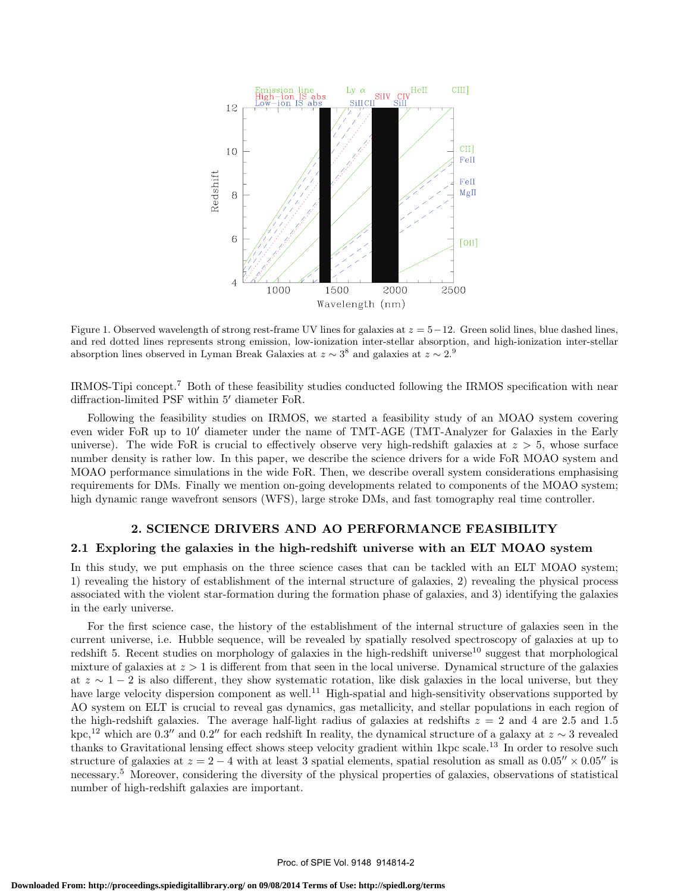

Figure 1. Observed wavelength of strong rest-frame UV lines for galaxies at *z* = 5*−*12. Green solid lines, blue dashed lines, and red dotted lines represents strong emission, low-ionization inter-stellar absorption, and high-ionization inter-stellar absorption lines observed in Lyman Break Galaxies at  $z \sim 3^8$  and galaxies at  $z \sim 2.9$ 

IRMOS-Tipi concept.<sup>7</sup> Both of these feasibility studies conducted following the IRMOS specification with near diffraction-limited PSF within 5*′* diameter FoR.

Following the feasibility studies on IRMOS, we started a feasibility study of an MOAO system covering even wider FoR up to 10*′* diameter under the name of TMT-AGE (TMT-Analyzer for Galaxies in the Early universe). The wide FoR is crucial to effectively observe very high-redshift galaxies at  $z > 5$ , whose surface number density is rather low. In this paper, we describe the science drivers for a wide FoR MOAO system and MOAO performance simulations in the wide FoR. Then, we describe overall system considerations emphasising requirements for DMs. Finally we mention on-going developments related to components of the MOAO system; high dynamic range wavefront sensors (WFS), large stroke DMs, and fast tomography real time controller.

#### **2. SCIENCE DRIVERS AND AO PERFORMANCE FEASIBILITY**

# **2.1 Exploring the galaxies in the high-redshift universe with an ELT MOAO system**

In this study, we put emphasis on the three science cases that can be tackled with an ELT MOAO system; 1) revealing the history of establishment of the internal structure of galaxies, 2) revealing the physical process associated with the violent star-formation during the formation phase of galaxies, and 3) identifying the galaxies in the early universe.

For the first science case, the history of the establishment of the internal structure of galaxies seen in the current universe, i.e. Hubble sequence, will be revealed by spatially resolved spectroscopy of galaxies at up to redshift 5. Recent studies on morphology of galaxies in the high-redshift universe<sup>10</sup> suggest that morphological mixture of galaxies at *z >* 1 is different from that seen in the local universe. Dynamical structure of the galaxies at *z ∼* 1 *−* 2 is also different, they show systematic rotation, like disk galaxies in the local universe, but they have large velocity dispersion component as well.<sup>11</sup> High-spatial and high-sensitivity observations supported by AO system on ELT is crucial to reveal gas dynamics, gas metallicity, and stellar populations in each region of the high-redshift galaxies. The average half-light radius of galaxies at redshifts  $z = 2$  and 4 are 2.5 and 1.5  $kpc$ <sup>12</sup>, which are 0.3'' and 0.2'' for each redshift In reality, the dynamical structure of a galaxy at  $z \sim 3$  revealed thanks to Gravitational lensing effect shows steep velocity gradient within 1kpc scale.<sup>13</sup> In order to resolve such structure of galaxies at  $z = 2 - 4$  with at least 3 spatial elements, spatial resolution as small as  $0.05'' \times 0.05''$  is necessary.<sup>5</sup> Moreover, considering the diversity of the physical properties of galaxies, observations of statistical number of high-redshift galaxies are important.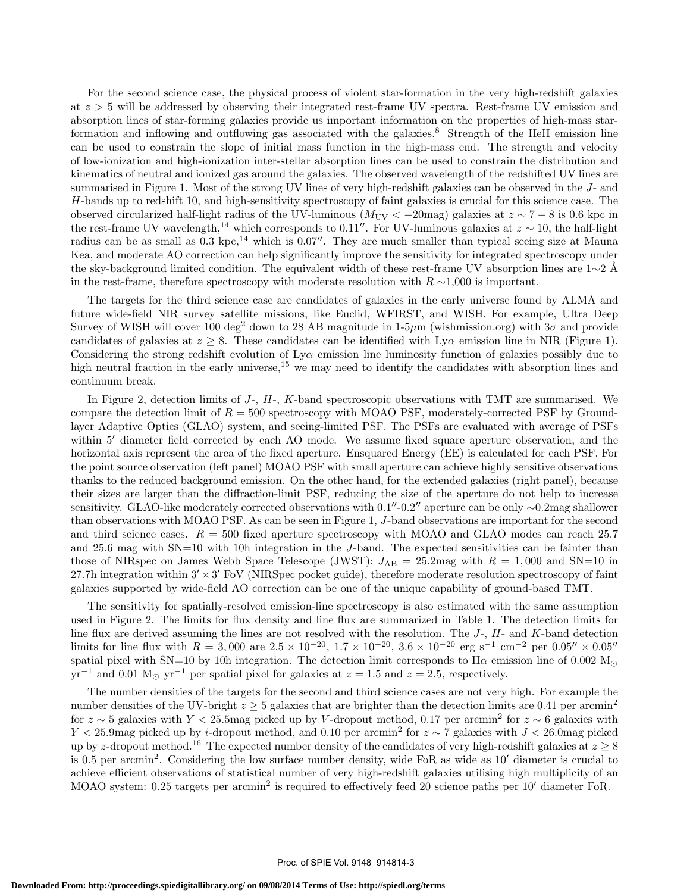For the second science case, the physical process of violent star-formation in the very high-redshift galaxies at *z >* 5 will be addressed by observing their integrated rest-frame UV spectra. Rest-frame UV emission and absorption lines of star-forming galaxies provide us important information on the properties of high-mass starformation and inflowing and outflowing gas associated with the galaxies.<sup>8</sup> Strength of the HeII emission line can be used to constrain the slope of initial mass function in the high-mass end. The strength and velocity of low-ionization and high-ionization inter-stellar absorption lines can be used to constrain the distribution and kinematics of neutral and ionized gas around the galaxies. The observed wavelength of the redshifted UV lines are summarised in Figure 1. Most of the strong UV lines of very high-redshift galaxies can be observed in the *J*- and *H*-bands up to redshift 10, and high-sensitivity spectroscopy of faint galaxies is crucial for this science case. The observed circularized half-light radius of the UV-luminous ( $M_{\text{UV}} < -20$  mag) galaxies at  $z \sim 7 - 8$  is 0.6 kpc in the rest-frame UV wavelength,<sup>14</sup> which corresponds to 0.11<sup>*′′*</sup>. For UV-luminous galaxies at  $z \sim 10$ , the half-light radius can be as small as  $0.3 \text{ kpc}$ ,<sup>14</sup> which is 0.07<sup>''</sup>. They are much smaller than typical seeing size at Mauna Kea, and moderate AO correction can help significantly improve the sensitivity for integrated spectroscopy under the sky-background limited condition. The equivalent width of these rest-frame UV absorption lines are 1∼2 Å in the rest-frame, therefore spectroscopy with moderate resolution with *R ∼*1,000 is important.

The targets for the third science case are candidates of galaxies in the early universe found by ALMA and future wide-field NIR survey satellite missions, like Euclid, WFIRST, and WISH. For example, Ultra Deep Survey of WISH will cover 100 deg<sup>2</sup> down to 28 AB magnitude in 1-5 $\mu$ m (wishmission.org) with  $3\sigma$  and provide candidates of galaxies at  $z \geq 8$ . These candidates can be identified with Ly<sub>*Q*</sub> emission line in NIR (Figure 1). Considering the strong redshift evolution of Ly $\alpha$  emission line luminosity function of galaxies possibly due to high neutral fraction in the early universe, $15$  we may need to identify the candidates with absorption lines and continuum break.

In Figure 2, detection limits of *J*-, *H*-, *K*-band spectroscopic observations with TMT are summarised. We compare the detection limit of  $R = 500$  spectroscopy with MOAO PSF, moderately-corrected PSF by Groundlayer Adaptive Optics (GLAO) system, and seeing-limited PSF. The PSFs are evaluated with average of PSFs within 5<sup>'</sup> diameter field corrected by each AO mode. We assume fixed square aperture observation, and the horizontal axis represent the area of the fixed aperture. Ensquared Energy (EE) is calculated for each PSF. For the point source observation (left panel) MOAO PSF with small aperture can achieve highly sensitive observations thanks to the reduced background emission. On the other hand, for the extended galaxies (right panel), because their sizes are larger than the diffraction-limit PSF, reducing the size of the aperture do not help to increase sensitivity. GLAO-like moderately corrected observations with  $0.1''$ - $0.2''$  aperture can be only  $\sim 0.2$ mag shallower than observations with MOAO PSF. As can be seen in Figure 1, *J*-band observations are important for the second and third science cases.  $R = 500$  fixed aperture spectroscopy with MOAO and GLAO modes can reach 25.7 and 25.6 mag with SN=10 with 10h integration in the *J*-band. The expected sensitivities can be fainter than those of NIRspec on James Webb Space Telescope (JWST):  $J_{AB} = 25.2$  mag with  $R = 1,000$  and SN=10 in 27.7h integration within 3*′ ×*3 *′* FoV (NIRSpec pocket guide), therefore moderate resolution spectroscopy of faint galaxies supported by wide-field AO correction can be one of the unique capability of ground-based TMT.

The sensitivity for spatially-resolved emission-line spectroscopy is also estimated with the same assumption used in Figure 2. The limits for flux density and line flux are summarized in Table 1. The detection limits for line flux are derived assuming the lines are not resolved with the resolution. The *J*-, *H*- and *K*-band detection limits for line flux with  $R = 3,000$  are  $2.5 \times 10^{-20}$ ,  $1.7 \times 10^{-20}$ ,  $3.6 \times 10^{-20}$  erg s<sup>-1</sup> cm<sup>-2</sup> per  $0.05'' \times 0.05''$ spatial pixel with SN=10 by 10h integration. The detection limit corresponds to  $H\alpha$  emission line of 0.002 M<sub>*∩*</sub>  $yr^{-1}$  and 0.01 M<sub>☉</sub>  $yr^{-1}$  per spatial pixel for galaxies at  $z = 1.5$  and  $z = 2.5$ , respectively.

The number densities of the targets for the second and third science cases are not very high. For example the number densities of the UV-bright  $z \geq 5$  galaxies that are brighter than the detection limits are 0.41 per arcmin<sup>2</sup> for  $z \sim 5$  galaxies with  $Y < 25.5$  mag picked up by *V*-dropout method, 0.17 per arcmin<sup>2</sup> for  $z \sim 6$  galaxies with *Y <* 25*.*9mag picked up by *i*-dropout method, and 0.10 per arcmin<sup>2</sup> for *z ∼* 7 galaxies with *J <* 26*.*0mag picked up by *z*-dropout method.<sup>16</sup> The expected number density of the candidates of very high-redshift galaxies at  $z \geq 8$ is 0.5 per arcmin<sup>2</sup> . Considering the low surface number density, wide FoR as wide as 10*′* diameter is crucial to achieve efficient observations of statistical number of very high-redshift galaxies utilising high multiplicity of an MOAO system: 0.25 targets per arcmin<sup>2</sup> is required to effectively feed 20 science paths per 10<sup>'</sup> diameter FoR.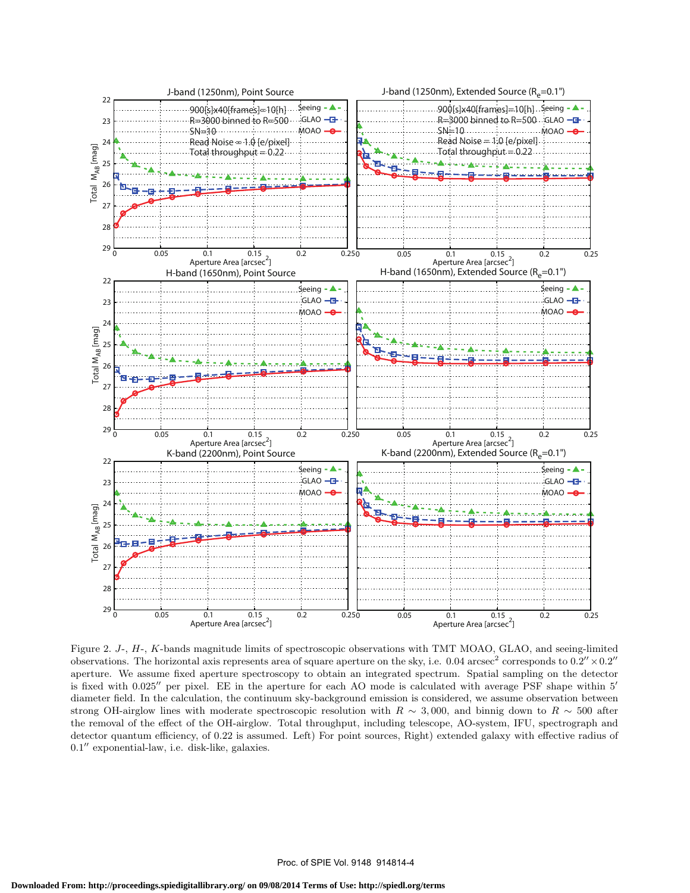

Figure 2. *J*-, *H*-, *K*-bands magnitude limits of spectroscopic observations with TMT MOAO, GLAO, and seeing-limited observations. The horizontal axis represents area of square aperture on the sky, i.e.  $0.04 \arcsec^2$  corresponds to  $0.2'' \times 0.2''$ aperture. We assume fixed aperture spectroscopy to obtain an integrated spectrum. Spatial sampling on the detector is fixed with 0.025*′′* per pixel. EE in the aperture for each AO mode is calculated with average PSF shape within 5*′* diameter field. In the calculation, the continuum sky-background emission is considered, we assume observation between strong OH-airglow lines with moderate spectroscopic resolution with  $R \sim 3,000$ , and binnig down to  $R \sim 500$  after the removal of the effect of the OH-airglow. Total throughput, including telescope, AO-system, IFU, spectrograph and detector quantum efficiency, of 0.22 is assumed. Left) For point sources, Right) extended galaxy with effective radius of 0*.*1 *′′* exponential-law, i.e. disk-like, galaxies.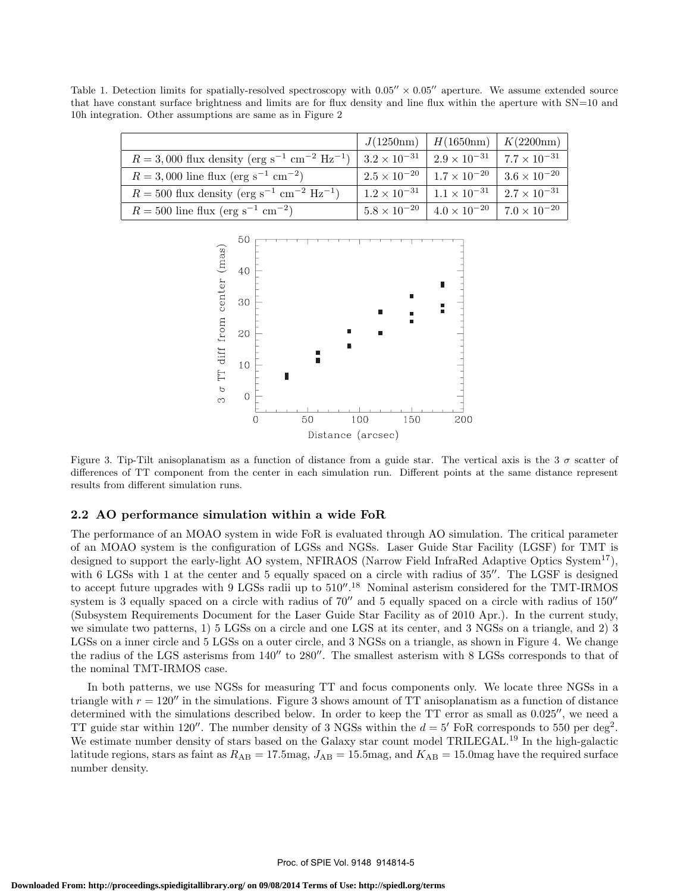Table 1. Detection limits for spatially-resolved spectroscopy with 0*.*05*′′ ×* 0*.*05*′′* aperture. We assume extended source that have constant surface brightness and limits are for flux density and line flux within the aperture with SN=10 and 10h integration. Other assumptions are same as in Figure 2

|                                                                                                                                                           | $J(1250nm)$   $H(1650nm)$   $K(2200nm)$                               |  |
|-----------------------------------------------------------------------------------------------------------------------------------------------------------|-----------------------------------------------------------------------|--|
| $R = 3,000$ flux density (erg s <sup>-1</sup> cm <sup>-2</sup> Hz <sup>-1</sup> )   $3.2 \times 10^{-31}$   $2.9 \times 10^{-31}$   $7.7 \times 10^{-31}$ |                                                                       |  |
| $R = 3,000$ line flux (erg s <sup>-1</sup> cm <sup>-2</sup> )                                                                                             | $2.5 \times 10^{-20}$   $1.7 \times 10^{-20}$   $3.6 \times 10^{-20}$ |  |
| $R = 500$ flux density (erg s <sup>-1</sup> cm <sup>-2</sup> Hz <sup>-1</sup> )                                                                           | $1.2 \times 10^{-31}$   $1.1 \times 10^{-31}$   $2.7 \times 10^{-31}$ |  |
| $R = 500$ line flux (erg s <sup>-1</sup> cm <sup>-2</sup> )                                                                                               | $5.8 \times 10^{-20}$ $4.0 \times 10^{-20}$ 7.0 $\times 10^{-20}$     |  |



Figure 3. Tip-Tilt anisoplanatism as a function of distance from a guide star. The vertical axis is the 3  $\sigma$  scatter of differences of TT component from the center in each simulation run. Different points at the same distance represent results from different simulation runs.

## **2.2 AO performance simulation within a wide FoR**

The performance of an MOAO system in wide FoR is evaluated through AO simulation. The critical parameter of an MOAO system is the configuration of LGSs and NGSs. Laser Guide Star Facility (LGSF) for TMT is designed to support the early-light AO system, NFIRAOS (Narrow Field InfraRed Adaptive Optics System<sup>17</sup>), with 6 LGSs with 1 at the center and 5 equally spaced on a circle with radius of 35<sup>*′′*</sup>. The LGSF is designed to accept future upgrades with 9 LGSs radii up to  $510''$ .<sup>18</sup> Nominal asterism considered for the TMT-IRMOS system is 3 equally spaced on a circle with radius of 70*′′* and 5 equally spaced on a circle with radius of 150*′′* (Subsystem Requirements Document for the Laser Guide Star Facility as of 2010 Apr.). In the current study, we simulate two patterns, 1) 5 LGSs on a circle and one LGS at its center, and 3 NGSs on a triangle, and 2) 3 LGSs on a inner circle and 5 LGSs on a outer circle, and 3 NGSs on a triangle, as shown in Figure 4. We change the radius of the LGS asterisms from 140*′′* to 280*′′*. The smallest asterism with 8 LGSs corresponds to that of the nominal TMT-IRMOS case.

In both patterns, we use NGSs for measuring TT and focus components only. We locate three NGSs in a triangle with  $r = 120''$  in the simulations. Figure 3 shows amount of TT anisoplanatism as a function of distance determined with the simulations described below. In order to keep the TT error as small as 0.025*′′*, we need a TT guide star within 120''. The number density of 3 NGSs within the  $d = 5'$  FoR corresponds to 550 per deg<sup>2</sup>. We estimate number density of stars based on the Galaxy star count model TRILEGAL.<sup>19</sup> In the high-galactic latitude regions, stars as faint as  $R_{AB} = 17.5$ mag,  $J_{AB} = 15.5$ mag, and  $K_{AB} = 15.0$ mag have the required surface number density.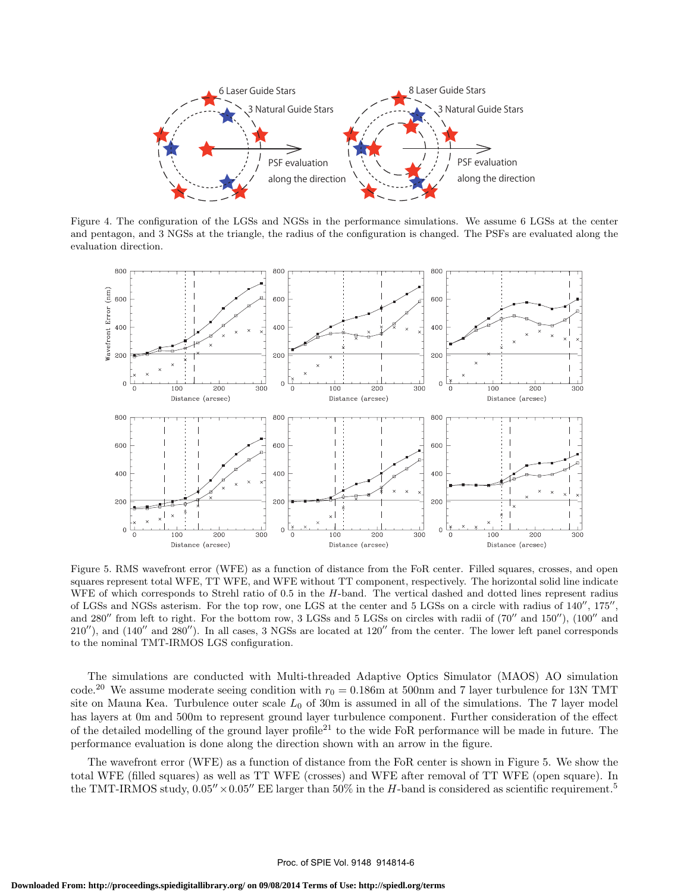

Figure 4. The configuration of the LGSs and NGSs in the performance simulations. We assume 6 LGSs at the center and pentagon, and 3 NGSs at the triangle, the radius of the configuration is changed. The PSFs are evaluated along the evaluation direction.



Figure 5. RMS wavefront error (WFE) as a function of distance from the FoR center. Filled squares, crosses, and open squares represent total WFE, TT WFE, and WFE without TT component, respectively. The horizontal solid line indicate WFE of which corresponds to Strehl ratio of 0.5 in the *H*-band. The vertical dashed and dotted lines represent radius of LGSs and NGSs asterism. For the top row, one LGS at the center and 5 LGSs on a circle with radius of 140*′′*, 175*′′* , and 280*′′* from left to right. For the bottom row, 3 LGSs and 5 LGSs on circles with radii of (70*′′* and 150*′′*), (100*′′* and 210*′′*), and (140*′′* and 280*′′*). In all cases, 3 NGSs are located at 120*′′* from the center. The lower left panel corresponds to the nominal TMT-IRMOS LGS configuration.

The simulations are conducted with Multi-threaded Adaptive Optics Simulator (MAOS) AO simulation code.<sup>20</sup> We assume moderate seeing condition with  $r_0 = 0.186$ m at 500nm and 7 layer turbulence for 13N TMT site on Mauna Kea. Turbulence outer scale  $L_0$  of 30m is assumed in all of the simulations. The 7 layer model has layers at 0m and 500m to represent ground layer turbulence component. Further consideration of the effect of the detailed modelling of the ground layer profile<sup>21</sup> to the wide FoR performance will be made in future. The performance evaluation is done along the direction shown with an arrow in the figure.

The wavefront error (WFE) as a function of distance from the FoR center is shown in Figure 5. We show the total WFE (filled squares) as well as TT WFE (crosses) and WFE after removal of TT WFE (open square). In the TMT-IRMOS study,  $0.05'' \times 0.05''$  EE larger than 50% in the *H*-band is considered as scientific requirement.<sup>5</sup>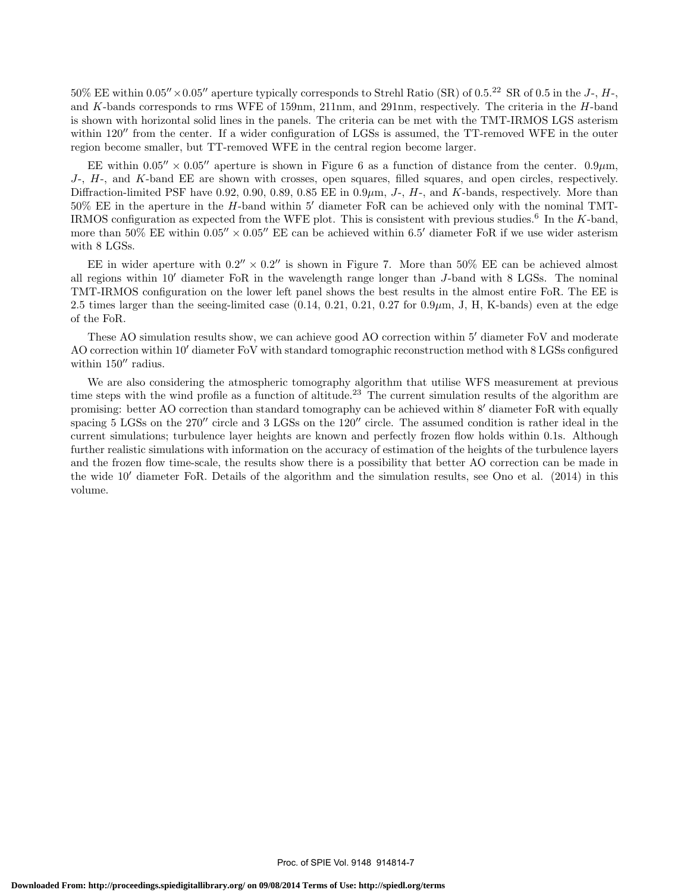50% EE within 0*.*05*′′×*0*.*05*′′* aperture typically corresponds to Strehl Ratio (SR) of 0.5.<sup>22</sup> SR of 0.5 in the *<sup>J</sup>*-, *<sup>H</sup>*-, and *K*-bands corresponds to rms WFE of 159nm, 211nm, and 291nm, respectively. The criteria in the *H*-band is shown with horizontal solid lines in the panels. The criteria can be met with the TMT-IRMOS LGS asterism within 120<sup>*′′*</sup> from the center. If a wider configuration of LGSs is assumed, the TT-removed WFE in the outer region become smaller, but TT-removed WFE in the central region become larger.

EE within  $0.05'' \times 0.05''$  aperture is shown in Figure 6 as a function of distance from the center.  $0.9 \mu m$ , *J*-, *H*-, and *K*-band EE are shown with crosses, open squares, filled squares, and open circles, respectively. Diffraction-limited PSF have 0.92, 0.90, 0.89, 0.85 EE in 0.9*µ*m, *J*-, *H*-, and *K*-bands, respectively. More than 50% EE in the aperture in the *H*-band within 5*′* diameter FoR can be achieved only with the nominal TMT-IRMOS configuration as expected from the WFE plot. This is consistent with previous studies.<sup>6</sup> In the *K*-band, more than 50% EE within 0*.*05*′′ ×* 0*.*05*′′* EE can be achieved within 6.5*′* diameter FoR if we use wider asterism with 8 LGSs.

EE in wider aperture with  $0.2'' \times 0.2''$  is shown in Figure 7. More than 50% EE can be achieved almost all regions within 10*′* diameter FoR in the wavelength range longer than *J*-band with 8 LGSs. The nominal TMT-IRMOS configuration on the lower left panel shows the best results in the almost entire FoR. The EE is 2.5 times larger than the seeing-limited case (0.14, 0.21, 0.21, 0.27 for 0.9*µ*m, J, H, K-bands) even at the edge of the FoR.

These AO simulation results show, we can achieve good AO correction within 5*′* diameter FoV and moderate AO correction within 10*′* diameter FoV with standard tomographic reconstruction method with 8 LGSs configured within 150*′′* radius.

We are also considering the atmospheric tomography algorithm that utilise WFS measurement at previous time steps with the wind profile as a function of altitude.<sup>23</sup> The current simulation results of the algorithm are promising: better AO correction than standard tomography can be achieved within 8*′* diameter FoR with equally spacing 5 LGSs on the 270*′′* circle and 3 LGSs on the 120*′′* circle. The assumed condition is rather ideal in the current simulations; turbulence layer heights are known and perfectly frozen flow holds within 0.1s. Although further realistic simulations with information on the accuracy of estimation of the heights of the turbulence layers and the frozen flow time-scale, the results show there is a possibility that better AO correction can be made in the wide 10*′* diameter FoR. Details of the algorithm and the simulation results, see Ono et al. (2014) in this volume.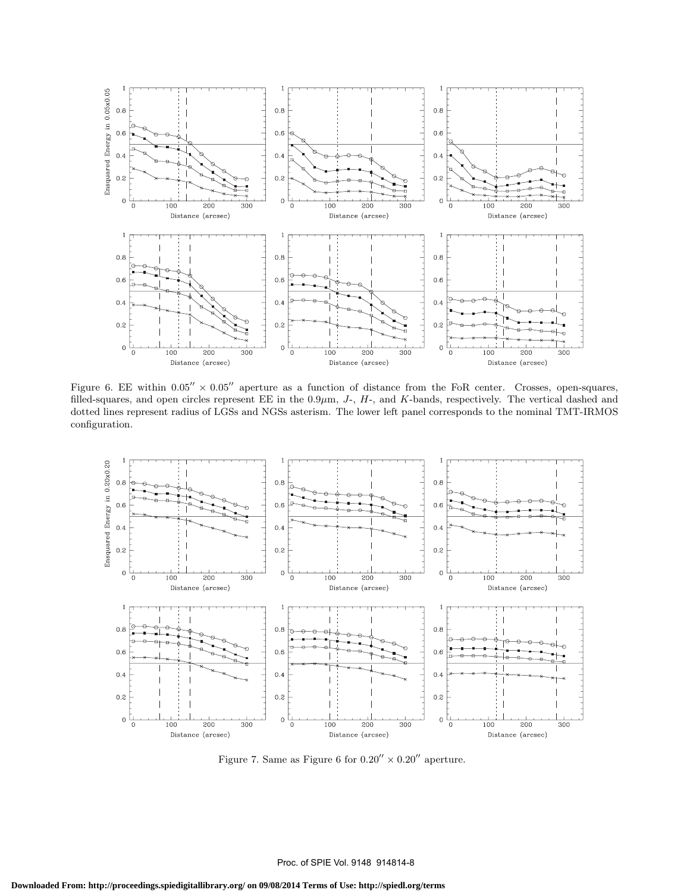

Figure 6. EE within 0*.*05*′′ ×* 0*.*05*′′* aperture as a function of distance from the FoR center. Crosses, open-squares, filled-squares, and open circles represent EE in the 0*.*9*µ*m, *J*-, *H*-, and *K*-bands, respectively. The vertical dashed and dotted lines represent radius of LGSs and NGSs asterism. The lower left panel corresponds to the nominal TMT-IRMOS configuration.



Figure 7. Same as Figure 6 for  $0.20^{\prime\prime}\times0.20^{\prime\prime}$  aperture.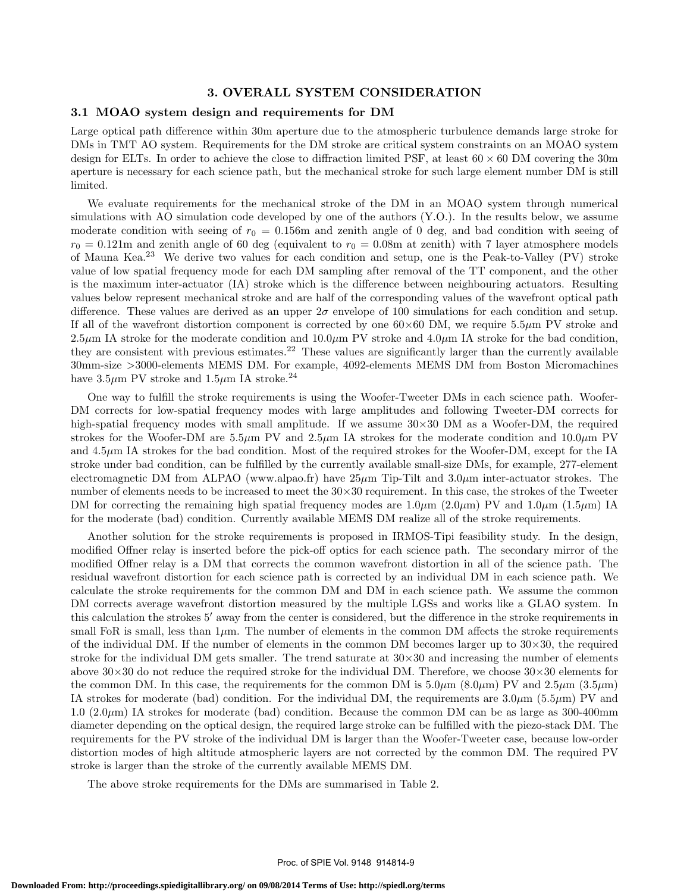# **3. OVERALL SYSTEM CONSIDERATION**

#### **3.1 MOAO system design and requirements for DM**

Large optical path difference within 30m aperture due to the atmospheric turbulence demands large stroke for DMs in TMT AO system. Requirements for the DM stroke are critical system constraints on an MOAO system design for ELTs. In order to achieve the close to diffraction limited PSF, at least 60 *×* 60 DM covering the 30m aperture is necessary for each science path, but the mechanical stroke for such large element number DM is still limited.

We evaluate requirements for the mechanical stroke of the DM in an MOAO system through numerical simulations with AO simulation code developed by one of the authors (Y.O.). In the results below, we assume moderate condition with seeing of  $r_0 = 0.156$ m and zenith angle of 0 deg, and bad condition with seeing of  $r_0 = 0.121$ m and zenith angle of 60 deg (equivalent to  $r_0 = 0.08$ m at zenith) with 7 layer atmosphere models of Mauna Kea.<sup>23</sup> We derive two values for each condition and setup, one is the Peak-to-Valley (PV) stroke value of low spatial frequency mode for each DM sampling after removal of the TT component, and the other is the maximum inter-actuator (IA) stroke which is the difference between neighbouring actuators. Resulting values below represent mechanical stroke and are half of the corresponding values of the wavefront optical path difference. These values are derived as an upper 2*σ* envelope of 100 simulations for each condition and setup. If all of the wavefront distortion component is corrected by one  $60\times60$  DM, we require  $5.5\mu$ m PV stroke and 2.5 $\mu$ m IA stroke for the moderate condition and 10.0 $\mu$ m PV stroke and 4.0 $\mu$ m IA stroke for the bad condition, they are consistent with previous estimates.<sup>22</sup> These values are significantly larger than the currently available 30mm-size *>*3000-elements MEMS DM. For example, 4092-elements MEMS DM from Boston Micromachines have  $3.5\mu$ m PV stroke and  $1.5\mu$ m IA stroke.<sup>24</sup>

One way to fulfill the stroke requirements is using the Woofer-Tweeter DMs in each science path. Woofer-DM corrects for low-spatial frequency modes with large amplitudes and following Tweeter-DM corrects for high-spatial frequency modes with small amplitude. If we assume 30*×*30 DM as a Woofer-DM, the required strokes for the Woofer-DM are 5.5*µ*m PV and 2.5*µ*m IA strokes for the moderate condition and 10.0*µ*m PV and 4.5 $\mu$ m IA strokes for the bad condition. Most of the required strokes for the Woofer-DM, except for the IA stroke under bad condition, can be fulfilled by the currently available small-size DMs, for example, 277-element electromagnetic DM from ALPAO (www.alpao.fr) have 25*µ*m Tip-Tilt and 3.0*µ*m inter-actuator strokes. The number of elements needs to be increased to meet the 30*×*30 requirement. In this case, the strokes of the Tweeter DM for correcting the remaining high spatial frequency modes are  $1.0\mu$ m  $(2.0\mu$ m) PV and  $1.0\mu$ m  $(1.5\mu$ m) IA for the moderate (bad) condition. Currently available MEMS DM realize all of the stroke requirements.

Another solution for the stroke requirements is proposed in IRMOS-Tipi feasibility study. In the design, modified Offner relay is inserted before the pick-off optics for each science path. The secondary mirror of the modified Offner relay is a DM that corrects the common wavefront distortion in all of the science path. The residual wavefront distortion for each science path is corrected by an individual DM in each science path. We calculate the stroke requirements for the common DM and DM in each science path. We assume the common DM corrects average wavefront distortion measured by the multiple LGSs and works like a GLAO system. In this calculation the strokes 5*′* away from the center is considered, but the difference in the stroke requirements in small FoR is small, less than  $1\mu$ m. The number of elements in the common DM affects the stroke requirements of the individual DM. If the number of elements in the common DM becomes larger up to 30*×*30, the required stroke for the individual DM gets smaller. The trend saturate at 30*×*30 and increasing the number of elements above 30*×*30 do not reduce the required stroke for the individual DM. Therefore, we choose 30*×*30 elements for the common DM. In this case, the requirements for the common DM is  $5.0\mu$ m ( $8.0\mu$ m) PV and  $2.5\mu$ m ( $3.5\mu$ m) IA strokes for moderate (bad) condition. For the individual DM, the requirements are 3.0*µ*m (5.5*µ*m) PV and 1.0  $(2.0\,\mu\text{m})$  IA strokes for moderate (bad) condition. Because the common DM can be as large as 300-400mm diameter depending on the optical design, the required large stroke can be fulfilled with the piezo-stack DM. The requirements for the PV stroke of the individual DM is larger than the Woofer-Tweeter case, because low-order distortion modes of high altitude atmospheric layers are not corrected by the common DM. The required PV stroke is larger than the stroke of the currently available MEMS DM.

The above stroke requirements for the DMs are summarised in Table 2.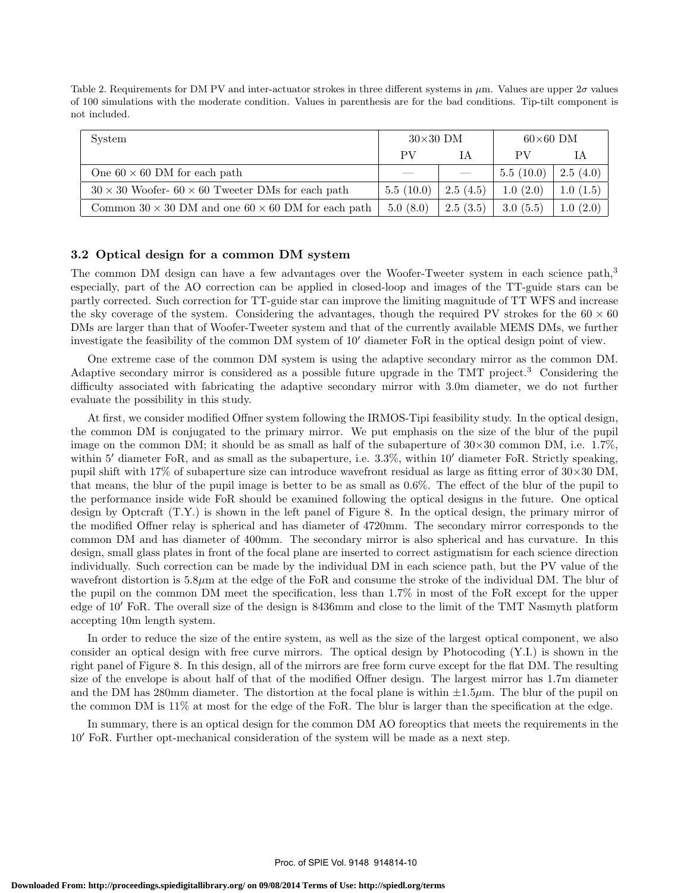Table 2. Requirements for DM PV and inter-actuator strokes in three different systems in *µ*m. Values are upper 2*σ* values of 100 simulations with the moderate condition. Values in parenthesis are for the bad conditions. Tip-tilt component is not included.

| System                                                           | $30\times30$ DM |          | $60\times60$ DM |          |
|------------------------------------------------------------------|-----------------|----------|-----------------|----------|
|                                                                  | РV              | ĪΑ       | PV              |          |
| One $60 \times 60$ DM for each path                              |                 |          | 5.5(10.0)       | 2.5(4.0) |
| $30 \times 30$ Woofer- $60 \times 60$ Tweeter DMs for each path  | 5.5(10.0)       | 2.5(4.5) | 1.0(2.0)        | 1.0(1.5) |
| Common $30 \times 30$ DM and one $60 \times 60$ DM for each path | 5.0(8.0)        | 2.5(3.5) | 3.0(5.5)        | 1.0(2.0) |

#### **3.2 Optical design for a common DM system**

The common DM design can have a few advantages over the Woofer-Tweeter system in each science path,<sup>3</sup> especially, part of the AO correction can be applied in closed-loop and images of the TT-guide stars can be partly corrected. Such correction for TT-guide star can improve the limiting magnitude of TT WFS and increase the sky coverage of the system. Considering the advantages, though the required PV strokes for the  $60 \times 60$ DMs are larger than that of Woofer-Tweeter system and that of the currently available MEMS DMs, we further investigate the feasibility of the common DM system of 10*′* diameter FoR in the optical design point of view.

One extreme case of the common DM system is using the adaptive secondary mirror as the common DM. Adaptive secondary mirror is considered as a possible future upgrade in the TMT project.<sup>3</sup> Considering the difficulty associated with fabricating the adaptive secondary mirror with 3.0m diameter, we do not further evaluate the possibility in this study.

At first, we consider modified Offner system following the IRMOS-Tipi feasibility study. In the optical design, the common DM is conjugated to the primary mirror. We put emphasis on the size of the blur of the pupil image on the common DM; it should be as small as half of the subaperture of 30*×*30 common DM, i.e. 1.7%, within 5<sup>*′*</sup> diameter FoR, and as small as the subaperture, i.e. 3.3%, within 10<sup>*′*</sup> diameter FoR. Strictly speaking, pupil shift with 17% of subaperture size can introduce wavefront residual as large as fitting error of 30*×*30 DM, that means, the blur of the pupil image is better to be as small as 0.6%. The effect of the blur of the pupil to the performance inside wide FoR should be examined following the optical designs in the future. One optical design by Optcraft (T.Y.) is shown in the left panel of Figure 8. In the optical design, the primary mirror of the modified Offner relay is spherical and has diameter of 4720mm. The secondary mirror corresponds to the common DM and has diameter of 400mm. The secondary mirror is also spherical and has curvature. In this design, small glass plates in front of the focal plane are inserted to correct astigmatism for each science direction individually. Such correction can be made by the individual DM in each science path, but the PV value of the wavefront distortion is 5.8*µ*m at the edge of the FoR and consume the stroke of the individual DM. The blur of the pupil on the common DM meet the specification, less than 1.7% in most of the FoR except for the upper edge of 10*′* FoR. The overall size of the design is 8436mm and close to the limit of the TMT Nasmyth platform accepting 10m length system.

In order to reduce the size of the entire system, as well as the size of the largest optical component, we also consider an optical design with free curve mirrors. The optical design by Photocoding (Y.I.) is shown in the right panel of Figure 8. In this design, all of the mirrors are free form curve except for the flat DM. The resulting size of the envelope is about half of that of the modified Offner design. The largest mirror has 1.7m diameter and the DM has 280mm diameter. The distortion at the focal plane is within  $\pm 1.5 \mu m$ . The blur of the pupil on the common DM is 11% at most for the edge of the FoR. The blur is larger than the specification at the edge.

In summary, there is an optical design for the common DM AO foreoptics that meets the requirements in the 10*′* FoR. Further opt-mechanical consideration of the system will be made as a next step.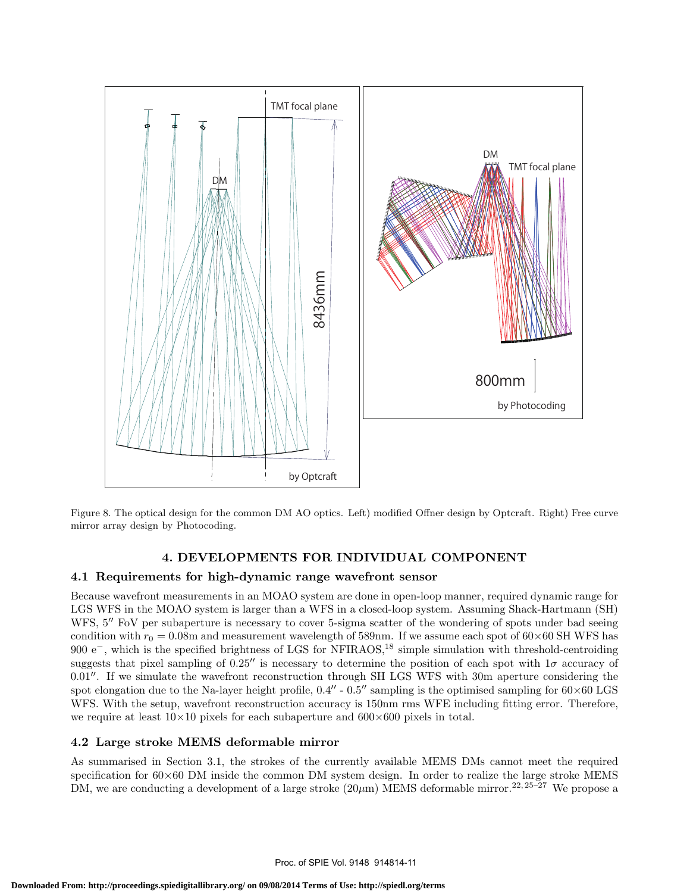

Figure 8. The optical design for the common DM AO optics. Left) modified Offner design by Optcraft. Right) Free curve mirror array design by Photocoding.

# **4. DEVELOPMENTS FOR INDIVIDUAL COMPONENT**

# **4.1 Requirements for high-dynamic range wavefront sensor**

Because wavefront measurements in an MOAO system are done in open-loop manner, required dynamic range for LGS WFS in the MOAO system is larger than a WFS in a closed-loop system. Assuming Shack-Hartmann (SH) WFS, 5<sup>*′′*</sup> FoV per subaperture is necessary to cover 5-sigma scatter of the wondering of spots under bad seeing condition with  $r_0 = 0.08$ m and measurement wavelength of 589nm. If we assume each spot of  $60 \times 60$  SH WFS has 900 e<sup>−</sup>, which is the specified brightness of LGS for NFIRAOS,<sup>18</sup> simple simulation with threshold-centroiding suggests that pixel sampling of 0.25*′′* is necessary to determine the position of each spot with 1*σ* accuracy of 0.01*′′*. If we simulate the wavefront reconstruction through SH LGS WFS with 30m aperture considering the spot elongation due to the Na-layer height profile, 0.4*′′* - 0.5*′′* sampling is the optimised sampling for 60*×*60 LGS WFS. With the setup, wavefront reconstruction accuracy is 150nm rms WFE including fitting error. Therefore, we require at least 10*×*10 pixels for each subaperture and 600*×*600 pixels in total.

# **4.2 Large stroke MEMS deformable mirror**

As summarised in Section 3.1, the strokes of the currently available MEMS DMs cannot meet the required specification for  $60\times60$  DM inside the common DM system design. In order to realize the large stroke MEMS DM, we are conducting a development of a large stroke  $(20 \mu m)$  MEMS deformable mirror.<sup>22, 25–27</sup> We propose a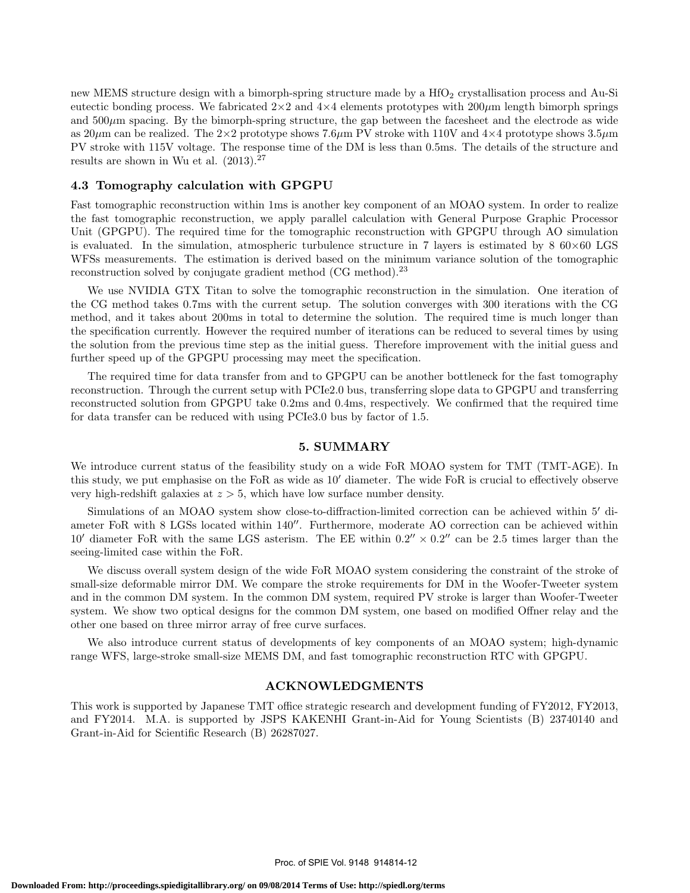new MEMS structure design with a bimorph-spring structure made by a  $HfO<sub>2</sub>$  crystallisation process and Au-Si eutectic bonding process. We fabricated 2*×*2 and 4*×*4 elements prototypes with 200*µ*m length bimorph springs and  $500\mu$ m spacing. By the bimorph-spring structure, the gap between the facesheet and the electrode as wide as 20*µ*m can be realized. The 2*×*2 prototype shows 7.6*µ*m PV stroke with 110V and 4*×*4 prototype shows 3.5*µ*m PV stroke with 115V voltage. The response time of the DM is less than 0.5ms. The details of the structure and results are shown in Wu et al.  $(2013).^{27}$ 

#### **4.3 Tomography calculation with GPGPU**

Fast tomographic reconstruction within 1ms is another key component of an MOAO system. In order to realize the fast tomographic reconstruction, we apply parallel calculation with General Purpose Graphic Processor Unit (GPGPU). The required time for the tomographic reconstruction with GPGPU through AO simulation is evaluated. In the simulation, atmospheric turbulence structure in 7 layers is estimated by 8 60*×*60 LGS WFSs measurements. The estimation is derived based on the minimum variance solution of the tomographic reconstruction solved by conjugate gradient method (CG method).<sup>23</sup>

We use NVIDIA GTX Titan to solve the tomographic reconstruction in the simulation. One iteration of the CG method takes 0.7ms with the current setup. The solution converges with 300 iterations with the CG method, and it takes about 200ms in total to determine the solution. The required time is much longer than the specification currently. However the required number of iterations can be reduced to several times by using the solution from the previous time step as the initial guess. Therefore improvement with the initial guess and further speed up of the GPGPU processing may meet the specification.

The required time for data transfer from and to GPGPU can be another bottleneck for the fast tomography reconstruction. Through the current setup with PCIe2.0 bus, transferring slope data to GPGPU and transferring reconstructed solution from GPGPU take 0.2ms and 0.4ms, respectively. We confirmed that the required time for data transfer can be reduced with using PCIe3.0 bus by factor of 1.5.

#### **5. SUMMARY**

We introduce current status of the feasibility study on a wide FoR MOAO system for TMT (TMT-AGE). In this study, we put emphasise on the FoR as wide as 10*′* diameter. The wide FoR is crucial to effectively observe very high-redshift galaxies at *z >* 5, which have low surface number density.

Simulations of an MOAO system show close-to-diffraction-limited correction can be achieved within 5*′* diameter FoR with 8 LGSs located within 140*′′*. Furthermore, moderate AO correction can be achieved within 10' diameter FoR with the same LGS asterism. The EE within  $0.2'' \times 0.2''$  can be 2.5 times larger than the seeing-limited case within the FoR.

We discuss overall system design of the wide FoR MOAO system considering the constraint of the stroke of small-size deformable mirror DM. We compare the stroke requirements for DM in the Woofer-Tweeter system and in the common DM system. In the common DM system, required PV stroke is larger than Woofer-Tweeter system. We show two optical designs for the common DM system, one based on modified Offner relay and the other one based on three mirror array of free curve surfaces.

We also introduce current status of developments of key components of an MOAO system; high-dynamic range WFS, large-stroke small-size MEMS DM, and fast tomographic reconstruction RTC with GPGPU.

#### **ACKNOWLEDGMENTS**

This work is supported by Japanese TMT office strategic research and development funding of FY2012, FY2013, and FY2014. M.A. is supported by JSPS KAKENHI Grant-in-Aid for Young Scientists (B) 23740140 and Grant-in-Aid for Scientific Research (B) 26287027.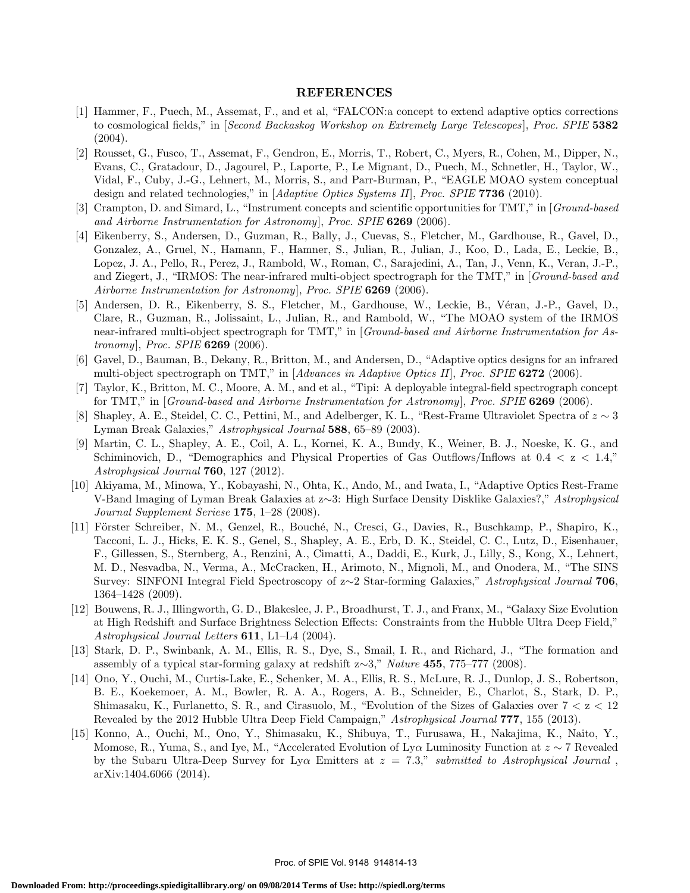# **REFERENCES**

- [1] Hammer, F., Puech, M., Assemat, F., and et al, "FALCON:a concept to extend adaptive optics corrections to cosmological fields," in [*Second Backaskog Workshop on Extremely Large Telescopes* ], *Proc. SPIE* **5382**  $(2004).$
- [2] Rousset, G., Fusco, T., Assemat, F., Gendron, E., Morris, T., Robert, C., Myers, R., Cohen, M., Dipper, N., Evans, C., Gratadour, D., Jagourel, P., Laporte, P., Le Mignant, D., Puech, M., Schnetler, H., Taylor, W., Vidal, F., Cuby, J.-G., Lehnert, M., Morris, S., and Parr-Burman, P., "EAGLE MOAO system conceptual design and related technologies," in [*Adaptive Optics Systems II*], *Proc. SPIE* **7736** (2010).
- [3] Crampton, D. and Simard, L., "Instrument concepts and scientific opportunities for TMT," in [*Ground-based and Airborne Instrumentation for Astronomy*], *Proc. SPIE* **6269** (2006).
- [4] Eikenberry, S., Andersen, D., Guzman, R., Bally, J., Cuevas, S., Fletcher, M., Gardhouse, R., Gavel, D., Gonzalez, A., Gruel, N., Hamann, F., Hamner, S., Julian, R., Julian, J., Koo, D., Lada, E., Leckie, B., Lopez, J. A., Pello, R., Perez, J., Rambold, W., Roman, C., Sarajedini, A., Tan, J., Venn, K., Veran, J.-P., and Ziegert, J., "IRMOS: The near-infrared multi-object spectrograph for the TMT," in [*Ground-based and Airborne Instrumentation for Astronomy*], *Proc. SPIE* **6269** (2006).
- [5] Andersen, D. R., Eikenberry, S. S., Fletcher, M., Gardhouse, W., Leckie, B., Véran, J.-P., Gavel, D., Clare, R., Guzman, R., Jolissaint, L., Julian, R., and Rambold, W., "The MOAO system of the IRMOS near-infrared multi-object spectrograph for TMT," in [*Ground-based and Airborne Instrumentation for Astronomy*], *Proc. SPIE* **6269** (2006).
- [6] Gavel, D., Bauman, B., Dekany, R., Britton, M., and Andersen, D., "Adaptive optics designs for an infrared multi-object spectrograph on TMT," in [*Advances in Adaptive Optics II*], *Proc. SPIE* **6272** (2006).
- [7] Taylor, K., Britton, M. C., Moore, A. M., and et al., "Tipi: A deployable integral-field spectrograph concept for TMT," in [*Ground-based and Airborne Instrumentation for Astronomy*], *Proc. SPIE* **6269** (2006).
- Shapley, A. E., Steidel, C. C., Pettini, M., and Adelberger, K. L., "Rest-Frame Ultraviolet Spectra of  $z \sim 3$ Lyman Break Galaxies," *Astrophysical Journal* **588**, 65–89 (2003).
- [9] Martin, C. L., Shapley, A. E., Coil, A. L., Kornei, K. A., Bundy, K., Weiner, B. J., Noeske, K. G., and Schiminovich, D., "Demographics and Physical Properties of Gas Outflows/Inflows at 0.4 *<* z *<* 1.4," *Astrophysical Journal* **760**, 127 (2012).
- [10] Akiyama, M., Minowa, Y., Kobayashi, N., Ohta, K., Ando, M., and Iwata, I., "Adaptive Optics Rest-Frame V-Band Imaging of Lyman Break Galaxies at z*∼*3: High Surface Density Disklike Galaxies?," *Astrophysical Journal Supplement Seriese* **175**, 1–28 (2008).
- [11] Förster Schreiber, N. M., Genzel, R., Bouché, N., Cresci, G., Davies, R., Buschkamp, P., Shapiro, K., Tacconi, L. J., Hicks, E. K. S., Genel, S., Shapley, A. E., Erb, D. K., Steidel, C. C., Lutz, D., Eisenhauer, F., Gillessen, S., Sternberg, A., Renzini, A., Cimatti, A., Daddi, E., Kurk, J., Lilly, S., Kong, X., Lehnert, M. D., Nesvadba, N., Verma, A., McCracken, H., Arimoto, N., Mignoli, M., and Onodera, M., "The SINS Survey: SINFONI Integral Field Spectroscopy of z*∼*2 Star-forming Galaxies," *Astrophysical Journal* **706**, 1364–1428 (2009).
- [12] Bouwens, R. J., Illingworth, G. D., Blakeslee, J. P., Broadhurst, T. J., and Franx, M., "Galaxy Size Evolution at High Redshift and Surface Brightness Selection Effects: Constraints from the Hubble Ultra Deep Field," *Astrophysical Journal Letters* **611**, L1–L4 (2004).
- [13] Stark, D. P., Swinbank, A. M., Ellis, R. S., Dye, S., Smail, I. R., and Richard, J., "The formation and assembly of a typical star-forming galaxy at redshift z*∼*3," *Nature* **455**, 775–777 (2008).
- [14] Ono, Y., Ouchi, M., Curtis-Lake, E., Schenker, M. A., Ellis, R. S., McLure, R. J., Dunlop, J. S., Robertson, B. E., Koekemoer, A. M., Bowler, R. A. A., Rogers, A. B., Schneider, E., Charlot, S., Stark, D. P., Shimasaku, K., Furlanetto, S. R., and Cirasuolo, M., "Evolution of the Sizes of Galaxies over 7 *<* z *<* 12 Revealed by the 2012 Hubble Ultra Deep Field Campaign," *Astrophysical Journal* **777**, 155 (2013).
- [15] Konno, A., Ouchi, M., Ono, Y., Shimasaku, K., Shibuya, T., Furusawa, H., Nakajima, K., Naito, Y., Momose, R., Yuma, S., and Iye, M., "Accelerated Evolution of Ly*α* Luminosity Function at *z ∼* 7 Revealed by the Subaru Ultra-Deep Survey for Ly $\alpha$  Emitters at  $z = 7.3$ ," *submitted to Astrophysical Journal*, arXiv:1404.6066 (2014).